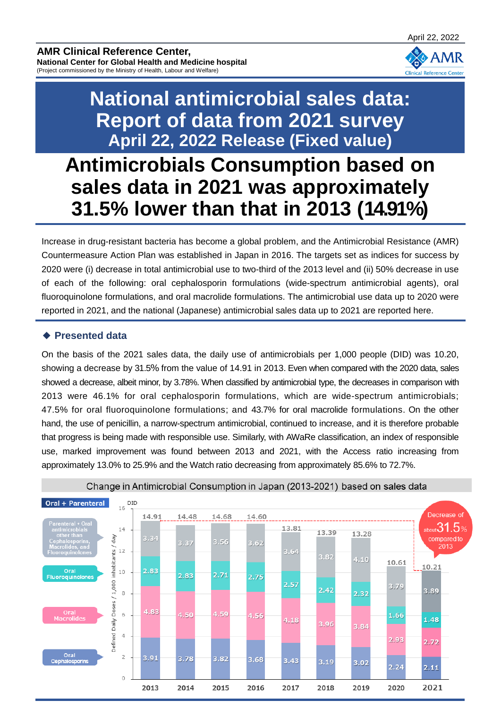

## **National antimicrobial sales data: Report of data from 2021 survey April 22, 2022 Release (Fixed value)**

**Antimicrobials Consumption based on sales data in 2021 was approximately 31.5% lower than that in 2013 (14.91%)**

Increase in drug-resistant bacteria has become a global problem, and the Antimicrobial Resistance (AMR) Countermeasure Action Plan was established in Japan in 2016. The targets set as indices for success by 2020 were (i) decrease in total antimicrobial use to two-third of the 2013 level and (ii) 50% decrease in use of each of the following: oral cephalosporin formulations (wide-spectrum antimicrobial agents), oral fluoroquinolone formulations, and oral macrolide formulations. The antimicrobial use data up to 2020 were reported in 2021, and the national (Japanese) antimicrobial sales data up to 2021 are reported here.

## **◆ Presented data**

On the basis of the 2021 sales data, the daily use of antimicrobials per 1,000 people (DID) was 10.20, showing a decrease by 31.5% from the value of 14.91 in 2013. Even when compared with the 2020 data, sales showed a decrease, albeit minor, by 3.78%. When classified by antimicrobial type, the decreases in comparison with 2013 were 46.1% for oral cephalosporin formulations, which are wide-spectrum antimicrobials; 47.5% for oral fluoroquinolone formulations; and 43.7% for oral macrolide formulations. On the other hand, the use of penicillin, a narrow-spectrum antimicrobial, continued to increase, and it is therefore probable that progress is being made with responsible use. Similarly, with AWaRe classification, an index of responsible use, marked improvement was found between 2013 and 2021, with the Access ratio increasing from approximately 13.0% to 25.9% and the Watch ratio decreasing from approximately 85.6% to 72.7%.



Change in Antimicrobial Consumption in Japan (2013-2021) based on sales data